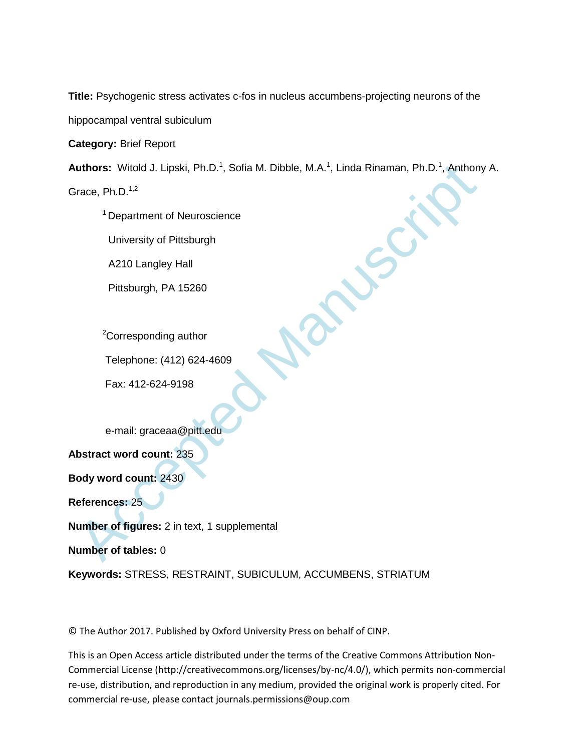**Title:** Psychogenic stress activates c-fos in nucleus accumbens-projecting neurons of the hippocampal ventral subiculum

**Category:** Brief Report

uthors: Witold J. Lipski, Ph.D.<sup>1</sup>, Sofia M. Dibble, M.A.<sup>1</sup>, Linda Rinaman, Ph.D.<sup>1</sup>, Anthony<br>
<sup>1</sup> Department of Neuroscience<br>
University of Pittsburgh<br>
A210 Langley Hall<br>
Pittsburgh, PA 15260<br>
<sup>2</sup> Corresponding author<br>
T Authors: Witold J. Lipski, Ph.D.<sup>1</sup>, Sofia M. Dibble, M.A.<sup>1</sup>, Linda Rinaman, Ph.D.<sup>1</sup>, Anthony A.

Grace,  $Ph.D.<sup>1,2</sup>$ 

<sup>1</sup> Department of Neuroscience

University of Pittsburgh

A210 Langley Hall

Pittsburgh, PA 15260

<sup>2</sup>Corresponding author

Telephone: (412) 624-4609

Fax: 412-624-9198

e-mail: graceaa@pitt.edu

**Abstract word count:** 235

**Body word count:** 2430

**References:** 25

**Number of figures:** 2 in text, 1 supplemental

**Number of tables:** 0

**Keywords:** STRESS, RESTRAINT, SUBICULUM, ACCUMBENS, STRIATUM

© The Author 2017. Published by Oxford University Press on behalf of CINP.

This is an Open Access article distributed under the terms of the Creative Commons Attribution Non-Commercial License (http://creativecommons.org/licenses/by-nc/4.0/), which permits non-commercial re-use, distribution, and reproduction in any medium, provided the original work is properly cited. For commercial re-use, please contact journals.permissions@oup.com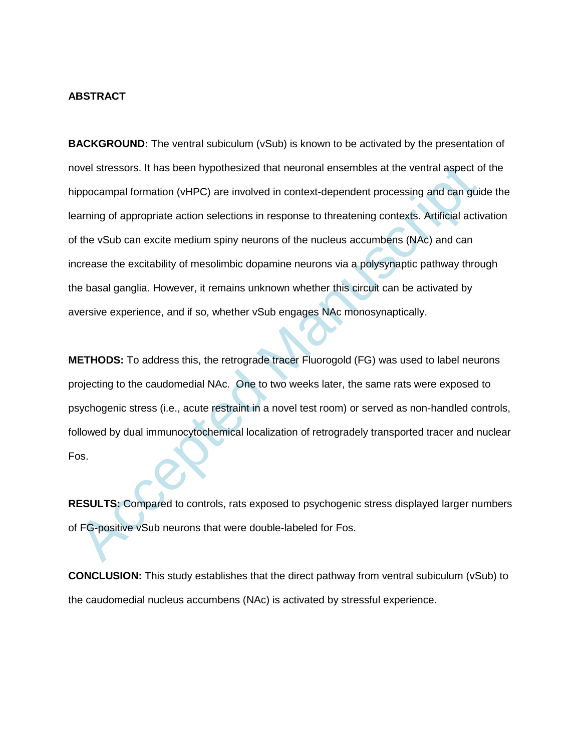## **ABSTRACT**

ovel stressors. It has been hypothesized that neuronal ensembles at the ventral aspect or<br>pocarmal formation (vHPC) are involved in context-dependent processing and can guid<br>arming of appropriate action selections in respo **BACKGROUND:** The ventral subiculum (vSub) is known to be activated by the presentation of novel stressors. It has been hypothesized that neuronal ensembles at the ventral aspect of the hippocampal formation (vHPC) are involved in context-dependent processing and can guide the learning of appropriate action selections in response to threatening contexts. Artificial activation of the vSub can excite medium spiny neurons of the nucleus accumbens (NAc) and can increase the excitability of mesolimbic dopamine neurons via a polysynaptic pathway through the basal ganglia. However, it remains unknown whether this circuit can be activated by aversive experience, and if so, whether vSub engages NAc monosynaptically.

**METHODS:** To address this, the retrograde tracer Fluorogold (FG) was used to label neurons projecting to the caudomedial NAc. One to two weeks later, the same rats were exposed to psychogenic stress (i.e., acute restraint in a novel test room) or served as non-handled controls, followed by dual immunocytochemical localization of retrogradely transported tracer and nuclear Fos.

**RESULTS:** Compared to controls, rats exposed to psychogenic stress displayed larger numbers of FG-positive vSub neurons that were double-labeled for Fos.

**CONCLUSION:** This study establishes that the direct pathway from ventral subiculum (vSub) to the caudomedial nucleus accumbens (NAc) is activated by stressful experience.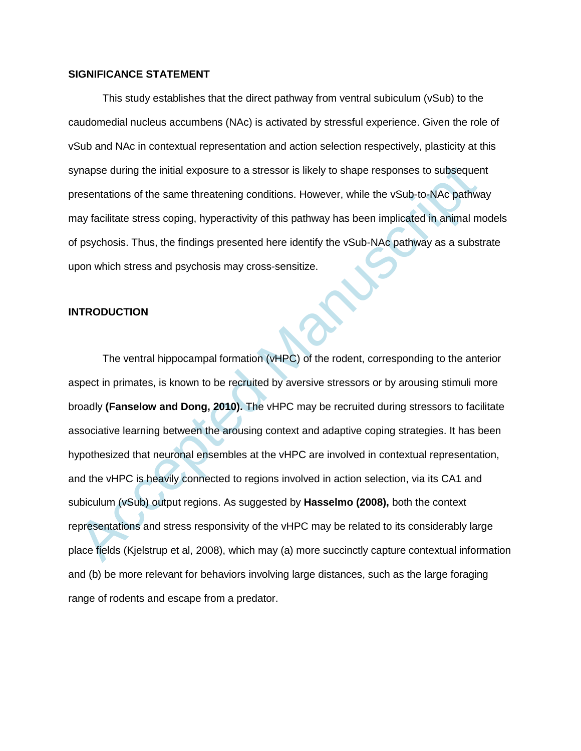# **SIGNIFICANCE STATEMENT**

This study establishes that the direct pathway from ventral subiculum (vSub) to the caudomedial nucleus accumbens (NAc) is activated by stressful experience. Given the role of vSub and NAc in contextual representation and action selection respectively, plasticity at this synapse during the initial exposure to a stressor is likely to shape responses to subsequent presentations of the same threatening conditions. However, while the vSub-to-NAc pathway may facilitate stress coping, hyperactivity of this pathway has been implicated in animal models of psychosis. Thus, the findings presented here identify the vSub-NAc pathway as a substrate upon which stress and psychosis may cross-sensitize.

### **INTRODUCTION**

by the initial exposure to a stressor is likely to shape responses to subsequent resentations of the same threatening conditions. However, while the VSub-to-NAc pathware the same threatening conditions. However, while the The ventral hippocampal formation (vHPC) of the rodent, corresponding to the anterior aspect in primates, is known to be recruited by aversive stressors or by arousing stimuli more broadly **(Fanselow and Dong, 2010).** The vHPC may be recruited during stressors to facilitate associative learning between the arousing context and adaptive coping strategies. It has been hypothesized that neuronal ensembles at the vHPC are involved in contextual representation, and the vHPC is heavily connected to regions involved in action selection, via its CA1 and subiculum (vSub) output regions. As suggested by **Hasselmo (2008),** both the context representations and stress responsivity of the vHPC may be related to its considerably large place fields (Kjelstrup et al, 2008), which may (a) more succinctly capture contextual information and (b) be more relevant for behaviors involving large distances, such as the large foraging range of rodents and escape from a predator.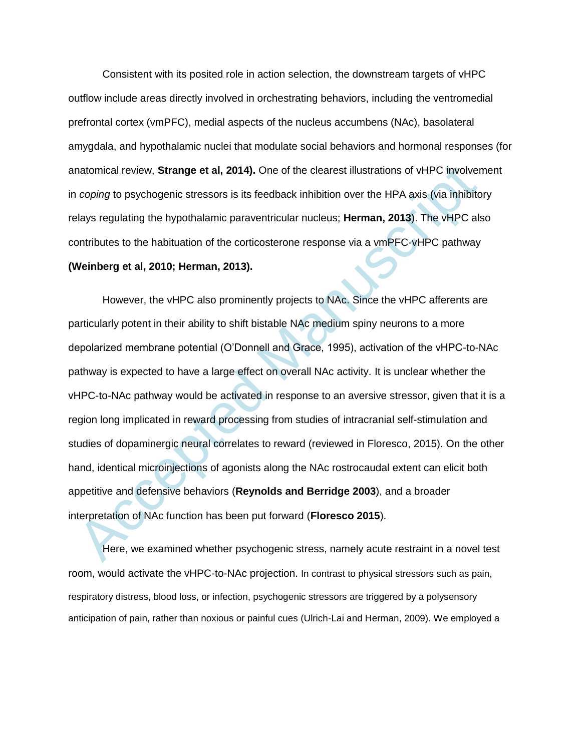Consistent with its posited role in action selection, the downstream targets of vHPC outflow include areas directly involved in orchestrating behaviors, including the ventromedial prefrontal cortex (vmPFC), medial aspects of the nucleus accumbens (NAc), basolateral amygdala, and hypothalamic nuclei that modulate social behaviors and hormonal responses (for anatomical review, **Strange et al, 2014).** One of the clearest illustrations of vHPC involvement in *coping* to psychogenic stressors is its feedback inhibition over the HPA axis (via inhibitory relays regulating the hypothalamic paraventricular nucleus; **Herman, 2013**). The vHPC also contributes to the habituation of the corticosterone response via a vmPFC-vHPC pathway **(Weinberg et al, 2010; Herman, 2013).**

natomical review, **Strange et al, 2014).** One of the clearest illustrations of vHPC involver<br>
noping to psychogenic stressors is its feedback inhibition over the HPA axis (via inhibito<br>
lays regulating the hypothalamic par However, the vHPC also prominently projects to NAc. Since the vHPC afferents are particularly potent in their ability to shift bistable NAc medium spiny neurons to a more depolarized membrane potential (O'Donnell and Grace, 1995), activation of the vHPC-to-NAc pathway is expected to have a large effect on overall NAc activity. It is unclear whether the vHPC-to-NAc pathway would be activated in response to an aversive stressor, given that it is a region long implicated in reward processing from studies of intracranial self-stimulation and studies of dopaminergic neural correlates to reward (reviewed in Floresco, 2015). On the other hand, identical microinjections of agonists along the NAc rostrocaudal extent can elicit both appetitive and defensive behaviors (**Reynolds and Berridge 2003**), and a broader interpretation of NAc function has been put forward (**Floresco 2015**).

Here, we examined whether psychogenic stress, namely acute restraint in a novel test room, would activate the vHPC-to-NAc projection. In contrast to physical stressors such as pain, respiratory distress, blood loss, or infection, psychogenic stressors are triggered by a polysensory anticipation of pain, rather than noxious or painful cues (Ulrich-Lai and Herman, 2009). We employed a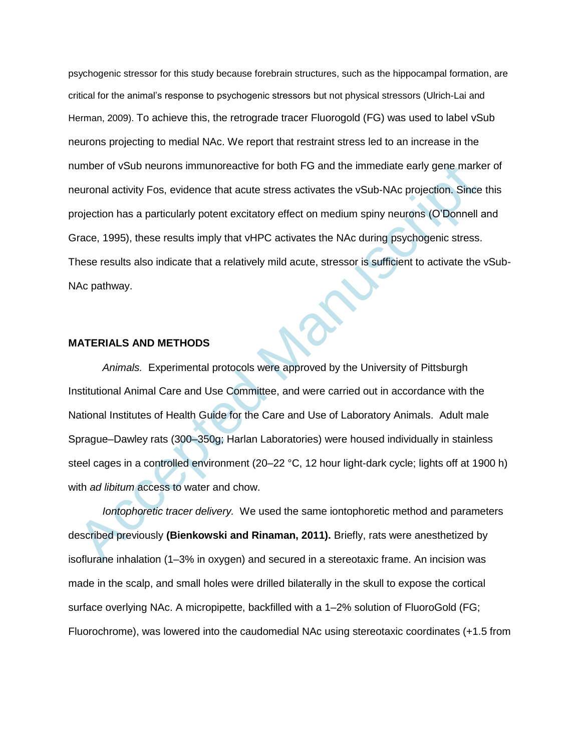psychogenic stressor for this study because forebrain structures, such as the hippocampal formation, are critical for the animal's response to psychogenic stressors but not physical stressors (Ulrich-Lai and Herman, 2009). To achieve this, the retrograde tracer Fluorogold (FG) was used to label vSub neurons projecting to medial NAc. We report that restraint stress led to an increase in the number of vSub neurons immunoreactive for both FG and the immediate early gene marker of neuronal activity Fos, evidence that acute stress activates the vSub-NAc projection. Since this projection has a particularly potent excitatory effect on medium spiny neurons (O'Donnell and Grace, 1995), these results imply that vHPC activates the NAc during psychogenic stress. These results also indicate that a relatively mild acute, stressor is sufficient to activate the vSub-NAc pathway.

### **MATERIALS AND METHODS**

umber of vSub neurons immunoreactive for both FG and the immediate early gene mark<br>euronal activity Fos, evidence that acute stress activates the vSub-NAc projection. Since<br>rojection has a particularly potent excitatory ef *Animals.* Experimental protocols were approved by the University of Pittsburgh Institutional Animal Care and Use Committee, and were carried out in accordance with the National Institutes of Health Guide for the Care and Use of Laboratory Animals. Adult male Sprague–Dawley rats (300–350g; Harlan Laboratories) were housed individually in stainless steel cages in a controlled environment (20–22 °C, 12 hour light-dark cycle; lights off at 1900 h) with *ad libitum* access to water and chow.

*Iontophoretic tracer delivery.* We used the same iontophoretic method and parameters described previously **(Bienkowski and Rinaman, 2011).** Briefly, rats were anesthetized by isoflurane inhalation (1–3% in oxygen) and secured in a stereotaxic frame. An incision was made in the scalp, and small holes were drilled bilaterally in the skull to expose the cortical surface overlying NAc. A micropipette, backfilled with a 1–2% solution of FluoroGold (FG; Fluorochrome), was lowered into the caudomedial NAc using stereotaxic coordinates (+1.5 from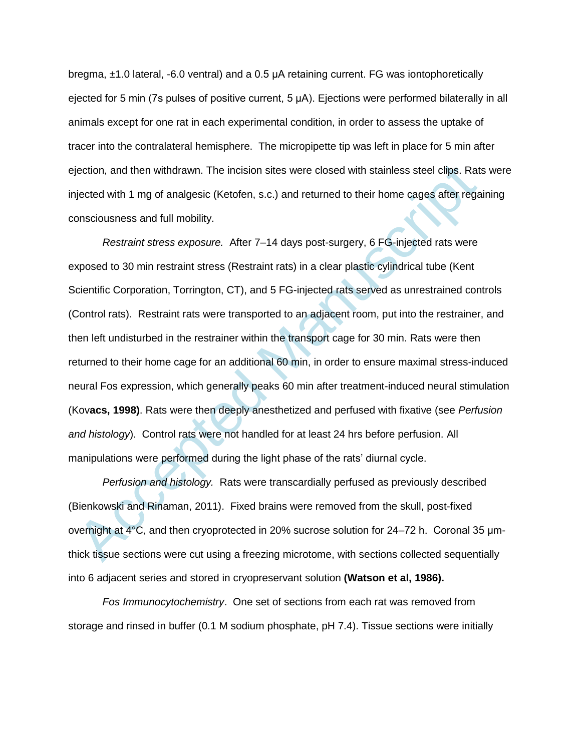bregma, ±1.0 lateral, -6.0 ventral) and a 0.5 μA retaining current. FG was iontophoretically ejected for 5 min (7s pulses of positive current, 5 μA). Ejections were performed bilaterally in all animals except for one rat in each experimental condition, in order to assess the uptake of tracer into the contralateral hemisphere. The micropipette tip was left in place for 5 min after ejection, and then withdrawn. The incision sites were closed with stainless steel clips. Rats were injected with 1 mg of analgesic (Ketofen, s.c.) and returned to their home cages after regaining consciousness and full mobility.

iection, and then withdrawn. The incision sites were closed with stainless steel clips. Rattigated with 1 mg of analgesic (Ketofen, s.c.) and returned to their home cages after regardiculations and full mobility.<br>
Restrain *Restraint stress exposure.* After 7–14 days post-surgery, 6 FG-injected rats were exposed to 30 min restraint stress (Restraint rats) in a clear plastic cylindrical tube (Kent Scientific Corporation, Torrington, CT), and 5 FG-injected rats served as unrestrained controls (Control rats). Restraint rats were transported to an adjacent room, put into the restrainer, and then left undisturbed in the restrainer within the transport cage for 30 min. Rats were then returned to their home cage for an additional 60 min, in order to ensure maximal stress-induced neural Fos expression, which generally peaks 60 min after treatment-induced neural stimulation (Kov**acs, 1998)**. Rats were then deeply anesthetized and perfused with fixative (see *Perfusion and histology*). Control rats were not handled for at least 24 hrs before perfusion. All manipulations were performed during the light phase of the rats' diurnal cycle.

*Perfusion and histology.*Rats were transcardially perfused as previously described (Bienkowski and Rinaman, 2011). Fixed brains were removed from the skull, post-fixed overnight at 4°C, and then cryoprotected in 20% sucrose solution for 24–72 h. Coronal 35 μmthick tissue sections were cut using a freezing microtome, with sections collected sequentially into 6 adjacent series and stored in cryopreservant solution **(Watson et al, 1986).**

*Fos Immunocytochemistry*. One set of sections from each rat was removed from storage and rinsed in buffer (0.1 M sodium phosphate, pH 7.4). Tissue sections were initially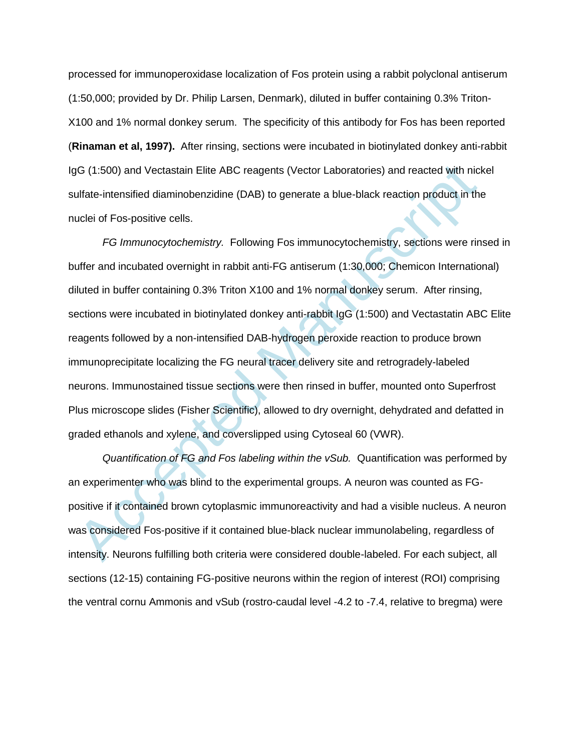processed for immunoperoxidase localization of Fos protein using a rabbit polyclonal antiserum (1:50,000; provided by Dr. Philip Larsen, Denmark), diluted in buffer containing 0.3% Triton-X100 and 1% normal donkey serum. The specificity of this antibody for Fos has been reported (**Rinaman et al, 1997).** After rinsing, sections were incubated in biotinylated donkey anti-rabbit IgG (1:500) and Vectastain Elite ABC reagents (Vector Laboratories) and reacted with nickel sulfate-intensified diaminobenzidine (DAB) to generate a blue-black reaction product in the nuclei of Fos-positive cells.

(G (1:500) and Vectastain Elite ABC reagents (Vector Laboratories) and reacted with nicitate-intensified diaminobenzidine (DAB) to generate a blue-black reaction product in the uclei of Fos-positive cells.<br>
FG Immunocytoch *FG Immunocytochemistry.* Following Fos immunocytochemistry, sections were rinsed in buffer and incubated overnight in rabbit anti-FG antiserum (1:30,000; Chemicon International) diluted in buffer containing 0.3% Triton X100 and 1% normal donkey serum. After rinsing, sections were incubated in biotinylated donkey anti-rabbit IgG (1:500) and Vectastatin ABC Elite reagents followed by a non-intensified DAB-hydrogen peroxide reaction to produce brown immunoprecipitate localizing the FG neural tracer delivery site and retrogradely-labeled neurons. Immunostained tissue sections were then rinsed in buffer, mounted onto Superfrost Plus microscope slides (Fisher Scientific), allowed to dry overnight, dehydrated and defatted in graded ethanols and xylene, and coverslipped using Cytoseal 60 (VWR).

*Quantification of FG and Fos labeling within the vSub.* Quantification was performed by an experimenter who was blind to the experimental groups. A neuron was counted as FGpositive if it contained brown cytoplasmic immunoreactivity and had a visible nucleus. A neuron was considered Fos-positive if it contained blue-black nuclear immunolabeling, regardless of intensity. Neurons fulfilling both criteria were considered double-labeled. For each subject, all sections (12-15) containing FG-positive neurons within the region of interest (ROI) comprising the ventral cornu Ammonis and vSub (rostro-caudal level -4.2 to -7.4, relative to bregma) were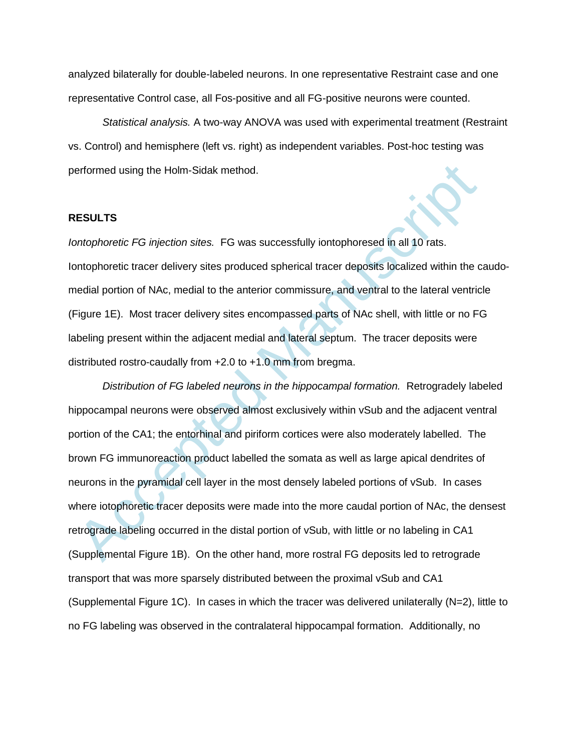analyzed bilaterally for double-labeled neurons. In one representative Restraint case and one representative Control case, all Fos-positive and all FG-positive neurons were counted.

*Statistical analysis.* A two-way ANOVA was used with experimental treatment (Restraint vs. Control) and hemisphere (left vs. right) as independent variables. Post-hoc testing was performed using the Holm-Sidak method.

## **RESULTS**

*Iontophoretic FG injection sites.* FG was successfully iontophoresed in all 10 rats. Iontophoretic tracer delivery sites produced spherical tracer deposits localized within the caudomedial portion of NAc, medial to the anterior commissure, and ventral to the lateral ventricle (Figure 1E). Most tracer delivery sites encompassed parts of NAc shell, with little or no FG labeling present within the adjacent medial and lateral septum. The tracer deposits were distributed rostro-caudally from +2.0 to +1.0 mm from bregma.

erformed using the Holm-Sidak method.<br> **ESULTS**<br>
Acceptors and proportional stees. FG was successfully iontophoresed in all 10 rats.<br>
Anotophoretic tracer delivery sites produced spherical tracer deposits localized within *Distribution of FG labeled neurons in the hippocampal formation.* Retrogradely labeled hippocampal neurons were observed almost exclusively within vSub and the adjacent ventral portion of the CA1; the entorhinal and piriform cortices were also moderately labelled. The brown FG immunoreaction product labelled the somata as well as large apical dendrites of neurons in the pyramidal cell layer in the most densely labeled portions of vSub. In cases where iotophoretic tracer deposits were made into the more caudal portion of NAc, the densest retrograde labeling occurred in the distal portion of vSub, with little or no labeling in CA1 (Supplemental Figure 1B). On the other hand, more rostral FG deposits led to retrograde transport that was more sparsely distributed between the proximal vSub and CA1 (Supplemental Figure 1C). In cases in which the tracer was delivered unilaterally  $(N=2)$ , little to no FG labeling was observed in the contralateral hippocampal formation. Additionally, no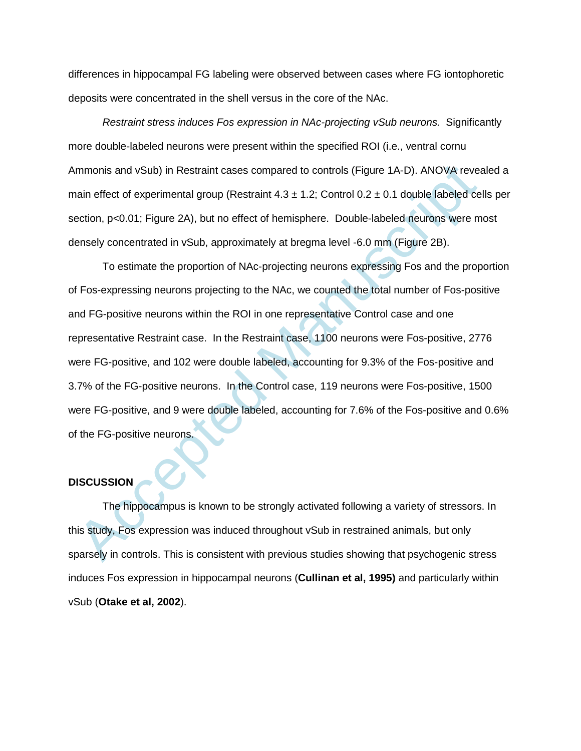differences in hippocampal FG labeling were observed between cases where FG iontophoretic deposits were concentrated in the shell versus in the core of the NAc.

*Restraint stress induces Fos expression in NAc-projecting vSub neurons.* Significantly more double-labeled neurons were present within the specified ROI (i.e., ventral cornu Ammonis and vSub) in Restraint cases compared to controls (Figure 1A-D). ANOVA revealed a main effect of experimental group (Restraint  $4.3 \pm 1.2$ ; Control  $0.2 \pm 0.1$  double labeled cells per section, p<0.01; Figure 2A), but no effect of hemisphere. Double-labeled neurons were most densely concentrated in vSub, approximately at bregma level -6.0 mm (Figure 2B).

mmonis and vSub) in Restraint cases compared to controls (Figure 1A-D). ANOVA reverain effect of experimental group (Restraint 4.3 ± 1.2; Control 0.2 ± 0.1 double labeled cection, p<0.01; Figure 2A), but no effect of hemis To estimate the proportion of NAc-projecting neurons expressing Fos and the proportion of Fos-expressing neurons projecting to the NAc, we counted the total number of Fos-positive and FG-positive neurons within the ROI in one representative Control case and one representative Restraint case. In the Restraint case, 1100 neurons were Fos-positive, 2776 were FG-positive, and 102 were double labeled, accounting for 9.3% of the Fos-positive and 3.7% of the FG-positive neurons. In the Control case, 119 neurons were Fos-positive, 1500 were FG-positive, and 9 were double labeled, accounting for 7.6% of the Fos-positive and 0.6% of the FG-positive neurons.

# **DISCUSSION**

The hippocampus is known to be strongly activated following a variety of stressors. In this study, Fos expression was induced throughout vSub in restrained animals, but only sparsely in controls. This is consistent with previous studies showing that psychogenic stress induces Fos expression in hippocampal neurons (**Cullinan et al, 1995)** and particularly within vSub (**Otake et al, 2002**).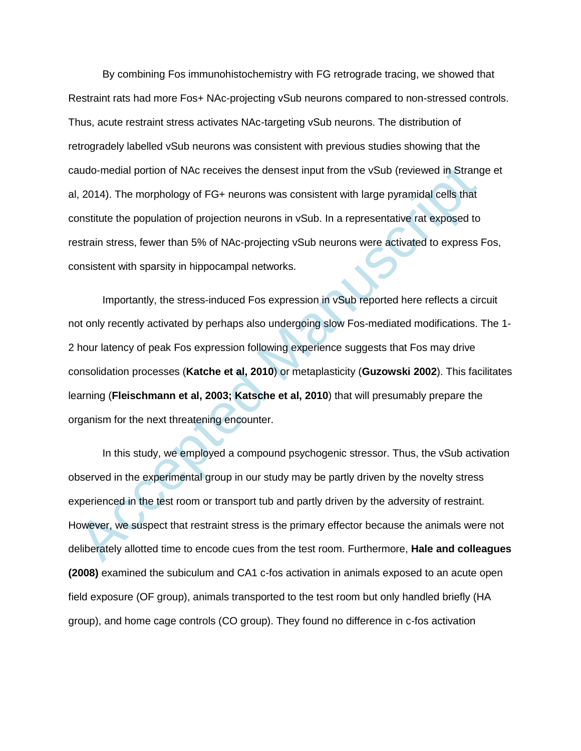By combining Fos immunohistochemistry with FG retrograde tracing, we showed that Restraint rats had more Fos+ NAc-projecting vSub neurons compared to non-stressed controls. Thus, acute restraint stress activates NAc-targeting vSub neurons. The distribution of retrogradely labelled vSub neurons was consistent with previous studies showing that the caudo-medial portion of NAc receives the densest input from the vSub (reviewed in Strange et al, 2014). The morphology of FG+ neurons was consistent with large pyramidal cells that constitute the population of projection neurons in vSub. In a representative rat exposed to restrain stress, fewer than 5% of NAc-projecting vSub neurons were activated to express Fos, consistent with sparsity in hippocampal networks.

audo-medial portion of NAc receives the densest input from the vSub (reviewed in Strang<br>
1, 2014). The morphology of FG+ neurons was consistent with large pyramidal cells that<br>
onstitute the population of projection neuron Importantly, the stress-induced Fos expression in vSub reported here reflects a circuit not only recently activated by perhaps also undergoing slow Fos-mediated modifications. The 1- 2 hour latency of peak Fos expression following experience suggests that Fos may drive consolidation processes (**Katche et al, 2010**) or metaplasticity (**Guzowski 2002**). This facilitates learning (**Fleischmann et al, 2003; Katsche et al, 2010**) that will presumably prepare the organism for the next threatening encounter.

In this study, we employed a compound psychogenic stressor. Thus, the vSub activation observed in the experimental group in our study may be partly driven by the novelty stress experienced in the test room or transport tub and partly driven by the adversity of restraint. However, we suspect that restraint stress is the primary effector because the animals were not deliberately allotted time to encode cues from the test room. Furthermore, **Hale and colleagues (2008)** examined the subiculum and CA1 c-fos activation in animals exposed to an acute open field exposure (OF group), animals transported to the test room but only handled briefly (HA group), and home cage controls (CO group). They found no difference in c-fos activation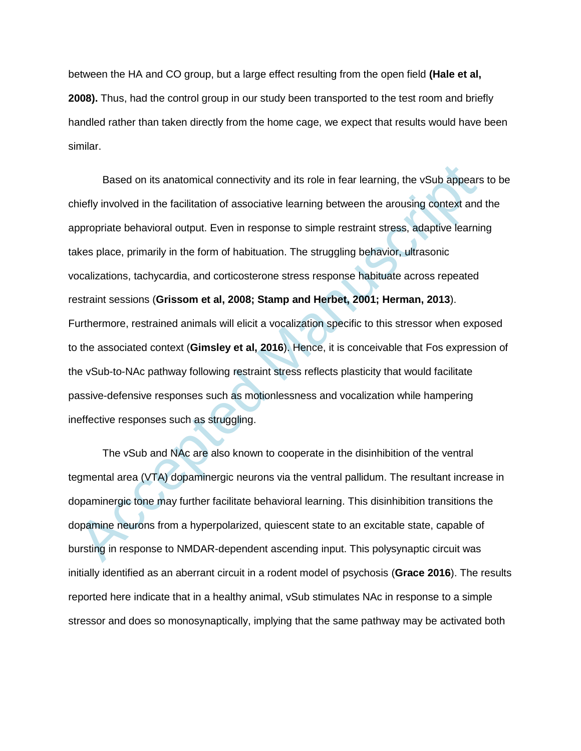between the HA and CO group, but a large effect resulting from the open field **(Hale et al, 2008).** Thus, had the control group in our study been transported to the test room and briefly handled rather than taken directly from the home cage, we expect that results would have been similar.

Based on its anatomical connectivity and its role in fear learning, the vSub appears<br>hiefly involved in the facilitation of associative learning between the arousing context and<br>ppropriate behavioral output. Even in respon Based on its anatomical connectivity and its role in fear learning, the vSub appears to be chiefly involved in the facilitation of associative learning between the arousing context and the appropriate behavioral output. Even in response to simple restraint stress, adaptive learning takes place, primarily in the form of habituation. The struggling behavior, ultrasonic vocalizations, tachycardia, and corticosterone stress response habituate across repeated restraint sessions (**Grissom et al, 2008; Stamp and Herbet, 2001; Herman, 2013**). Furthermore, restrained animals will elicit a vocalization specific to this stressor when exposed to the associated context (**Gimsley et al, 2016**). Hence, it is conceivable that Fos expression of the vSub-to-NAc pathway following restraint stress reflects plasticity that would facilitate passive-defensive responses such as motionlessness and vocalization while hampering ineffective responses such as struggling.

The vSub and NAc are also known to cooperate in the disinhibition of the ventral tegmental area (VTA) dopaminergic neurons via the ventral pallidum. The resultant increase in dopaminergic tone may further facilitate behavioral learning. This disinhibition transitions the dopamine neurons from a hyperpolarized, quiescent state to an excitable state, capable of bursting in response to NMDAR-dependent ascending input. This polysynaptic circuit was initially identified as an aberrant circuit in a rodent model of psychosis (**Grace 2016**). The results reported here indicate that in a healthy animal, vSub stimulates NAc in response to a simple stressor and does so monosynaptically, implying that the same pathway may be activated both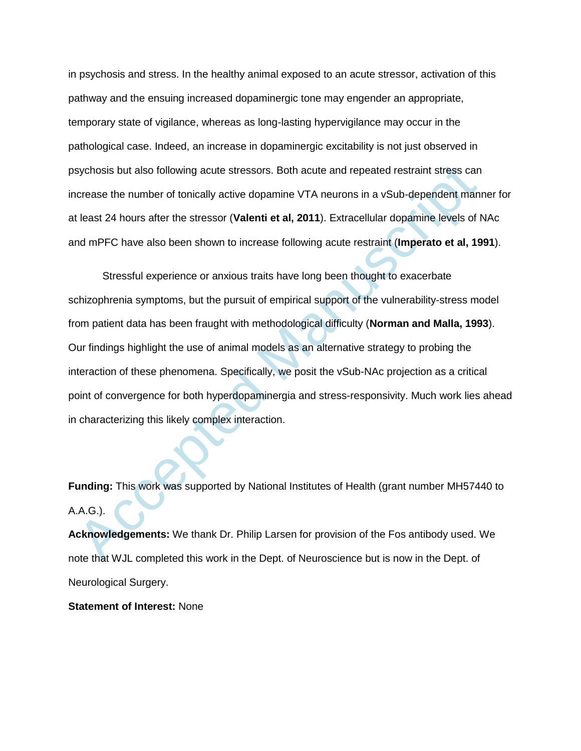in psychosis and stress. In the healthy animal exposed to an acute stressor, activation of this pathway and the ensuing increased dopaminergic tone may engender an appropriate, temporary state of vigilance, whereas as long-lasting hypervigilance may occur in the pathological case. Indeed, an increase in dopaminergic excitability is not just observed in psychosis but also following acute stressors. Both acute and repeated restraint stress can increase the number of tonically active dopamine VTA neurons in a vSub-dependent manner for at least 24 hours after the stressor (**Valenti et al, 2011**). Extracellular dopamine levels of NAc and mPFC have also been shown to increase following acute restraint (**Imperato et al, 1991**).

sychosis but also following acute stressors. Both acute and repeated restraint stress can<br>orcease the number of tonically active dopamine VTA neurons in a vSub-dependent man<br>t least 24 hours after the stressor (**Valenti et** Stressful experience or anxious traits have long been thought to exacerbate schizophrenia symptoms, but the pursuit of empirical support of the vulnerability-stress model from patient data has been fraught with methodological difficulty (**Norman and Malla, 1993**). Our findings highlight the use of animal models as an alternative strategy to probing the interaction of these phenomena. Specifically, we posit the vSub-NAc projection as a critical point of convergence for both hyperdopaminergia and stress-responsivity. Much work lies ahead in characterizing this likely complex interaction.

**Funding:** This work was supported by National Institutes of Health (grant number MH57440 to A.A.G.).

**Acknowledgements:** We thank Dr. Philip Larsen for provision of the Fos antibody used. We note that WJL completed this work in the Dept. of Neuroscience but is now in the Dept. of Neurological Surgery.

**Statement of Interest:** None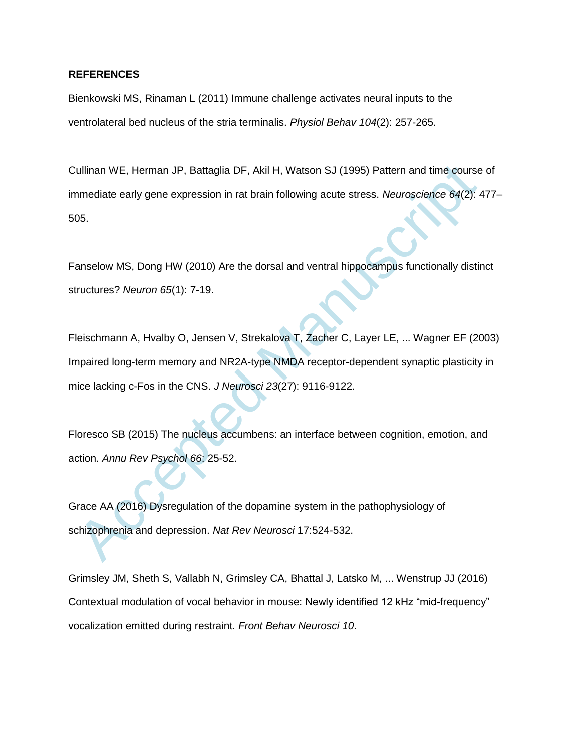#### **REFERENCES**

Bienkowski MS, Rinaman L (2011) Immune challenge activates neural inputs to the ventrolateral bed nucleus of the stria terminalis. *Physiol Behav 104*(2): 257-265.

Cullinan WE, Herman JP, Battaglia DF, Akil H, Watson SJ (1995) Pattern and time course of immediate early gene expression in rat brain following acute stress. *Neuroscience 64*(2): 477– 505.

Fanselow MS, Dong HW (2010) Are the dorsal and ventral hippocampus functionally distinct structures? *Neuron 65*(1): 7-19.

iullinan WE, Herman JP, Battaglia DF, Akil H, Watson SJ (1995) Pattern and time course<br>nmediate early gene expression in rat brain following acute stress. Neuroscience 64(2): 4<br>05.<br>anselow MS, Dong HW (2010) Are the dorsal Fleischmann A, Hvalby O, Jensen V, Strekalova T, Zacher C, Layer LE, ... Wagner EF (2003) Impaired long-term memory and NR2A-type NMDA receptor-dependent synaptic plasticity in mice lacking c-Fos in the CNS. *J Neurosci 23*(27): 9116-9122.

Floresco SB (2015) The nucleus accumbens: an interface between cognition, emotion, and action. *Annu Rev Psychol 66*: 25-52.

Grace AA (2016) Dysregulation of the dopamine system in the pathophysiology of schizophrenia and depression. *Nat Rev Neurosci* 17:524-532.

Grimsley JM, Sheth S, Vallabh N, Grimsley CA, Bhattal J, Latsko M, ... Wenstrup JJ (2016) Contextual modulation of vocal behavior in mouse: Newly identified 12 kHz "mid-frequency" vocalization emitted during restraint. *Front Behav Neurosci 10*.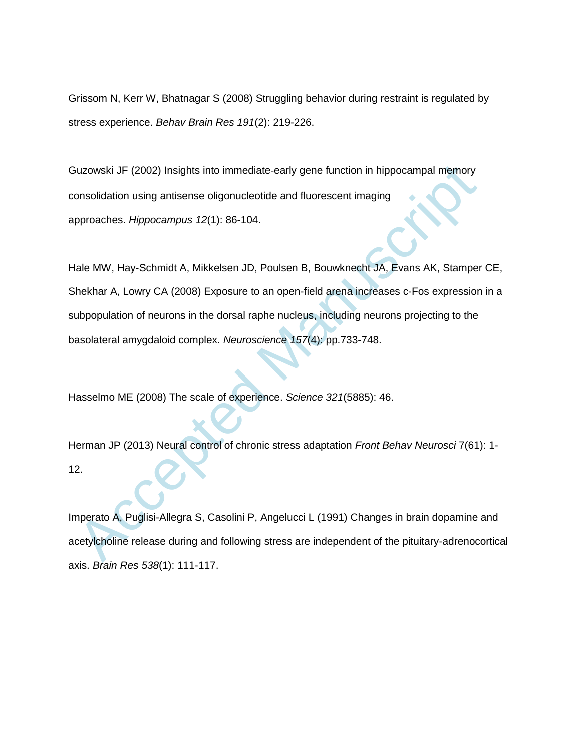Grissom N, Kerr W, Bhatnagar S (2008) Struggling behavior during restraint is regulated by stress experience. *Behav Brain Res 191*(2): 219-226.

Guzowski JF (2002) Insights into immediate‐early gene function in hippocampal memory consolidation using antisense oligonucleotide and fluorescent imaging approaches. *Hippocampus 12*(1): 86-104.

Suzowski JF (2002) Insights into immediate-early gene function in hippocampal memory<br>
onsolidation using antisense oligonucleotide and fluorescent imaging<br>
pproaches. Hippocampus 12(1): 86-104.<br>
Iale MW, Hay-Schmidt A, Mik Hale MW, Hay-Schmidt A, Mikkelsen JD, Poulsen B, Bouwknecht JA, Evans AK, Stamper CE, Shekhar A, Lowry CA (2008) Exposure to an open-field arena increases c-Fos expression in a subpopulation of neurons in the dorsal raphe nucleus, including neurons projecting to the basolateral amygdaloid complex. *Neuroscience 157*(4): pp.733-748.

Hasselmo ME (2008) The scale of experience. *Science 321*(5885): 46.

Herman JP (2013) Neural control of chronic stress adaptation *Front Behav Neurosci* 7(61): 1- 12.

Imperato A, Puglisi-Allegra S, Casolini P, Angelucci L (1991) Changes in brain dopamine and acetylcholine release during and following stress are independent of the pituitary-adrenocortical axis. *Brain Res 538*(1): 111-117.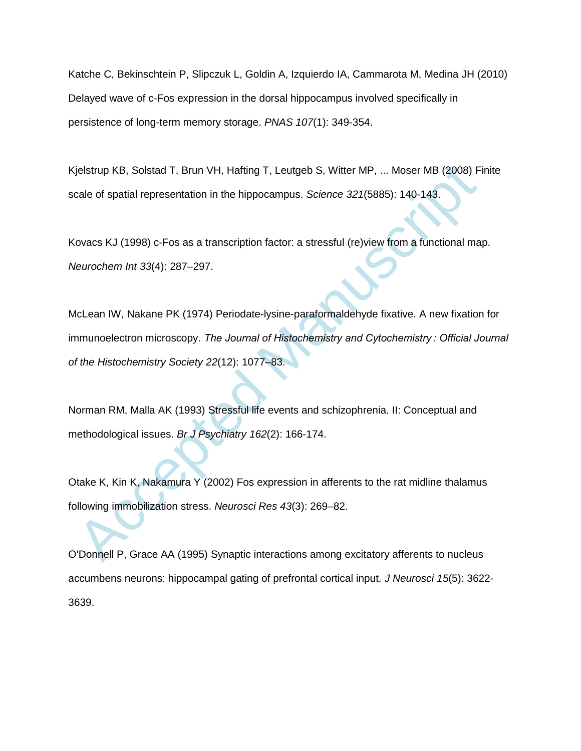Katche C, Bekinschtein P, Slipczuk L, Goldin A, Izquierdo IA, Cammarota M, Medina JH (2010) Delayed wave of c-Fos expression in the dorsal hippocampus involved specifically in persistence of long-term memory storage. *PNAS 107*(1): 349-354.

Kjelstrup KB, Solstad T, Brun VH, Hafting T, Leutgeb S, Witter MP, ... Moser MB (2008) Finite scale of spatial representation in the hippocampus. *Science 321*(5885): 140-143.

Kovacs KJ (1998) c-Fos as a transcription factor: a stressful (re)view from a functional map. *Neurochem Int 33*(4): 287–297.

ijelstrup KB, Solstad T, Brun VH, Hafting T, Leutgeb S, Witter MP, ... Moser MB (2008) Ficale of spatial representation in the hippocampus. *Science 321*(5885): 140-143.<br>
covacs KJ (1998) c-Fos as a transcription factor: a McLean IW, Nakane PK (1974) Periodate-lysine-paraformaldehyde fixative. A new fixation for immunoelectron microscopy. *The Journal of Histochemistry and Cytochemistry : Official Journal of the Histochemistry Society 22*(12): 1077–83.

Norman RM, Malla AK (1993) Stressful life events and schizophrenia. II: Conceptual and methodological issues. *Br J Psychiatry 162*(2): 166-174.

Otake K, Kin K, Nakamura Y (2002) Fos expression in afferents to the rat midline thalamus following immobilization stress. *Neurosci Res 43*(3): 269–82.

O'Donnell P, Grace AA (1995) Synaptic interactions among excitatory afferents to nucleus accumbens neurons: hippocampal gating of prefrontal cortical input. *J Neurosci 15*(5): 3622- 3639.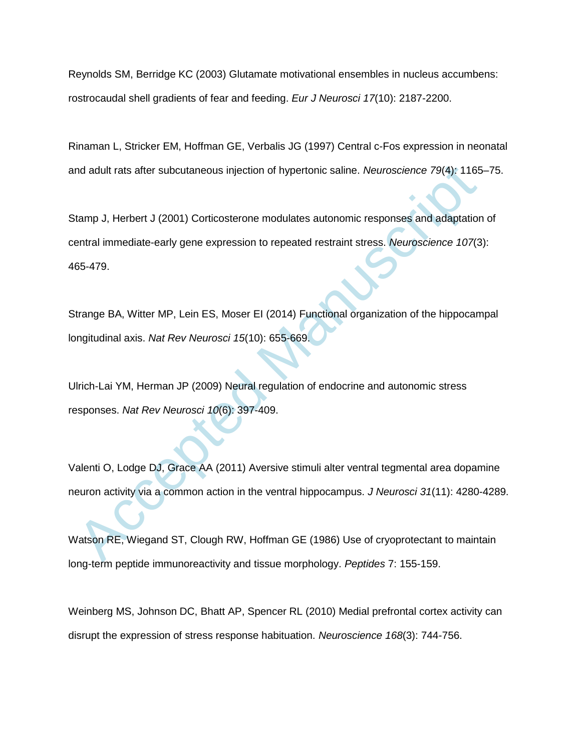Reynolds SM, Berridge KC (2003) Glutamate motivational ensembles in nucleus accumbens: rostrocaudal shell gradients of fear and feeding. *Eur J Neurosci 17*(10): 2187-2200.

Rinaman L, Stricker EM, Hoffman GE, Verbalis JG (1997) Central c-Fos expression in neonatal and adult rats after subcutaneous injection of hypertonic saline. *Neuroscience 79*(4): 1165–75.

nd adult rats after subcutaneous injection of hypertonic saline. *Neuroscience 79*(4): 1165<br>
tamp J, Herbert J (2001) Corticosterone modulates autonomic responses and adaptation<br>
entral immediate-early gene expression to r Stamp J, Herbert J (2001) Corticosterone modulates autonomic responses and adaptation of central immediate-early gene expression to repeated restraint stress. *Neuroscience 107*(3): 465-479.

Strange BA, Witter MP, Lein ES, Moser EI (2014) Functional organization of the hippocampal longitudinal axis. *Nat Rev Neurosci 15*(10): 655-669.

Ulrich-Lai YM, Herman JP (2009) Neural regulation of endocrine and autonomic stress responses. *Nat Rev Neurosci 10*(6): 397-409.

Valenti O, Lodge DJ, Grace AA (2011) Aversive stimuli alter ventral tegmental area dopamine neuron activity via a common action in the ventral hippocampus. *J Neurosci 31*(11): 4280-4289.

Watson RE, Wiegand ST, Clough RW, Hoffman GE (1986) Use of cryoprotectant to maintain long-term peptide immunoreactivity and tissue morphology. *Peptides* 7: 155-159.

Weinberg MS, Johnson DC, Bhatt AP, Spencer RL (2010) Medial prefrontal cortex activity can disrupt the expression of stress response habituation. *Neuroscience 168*(3): 744-756.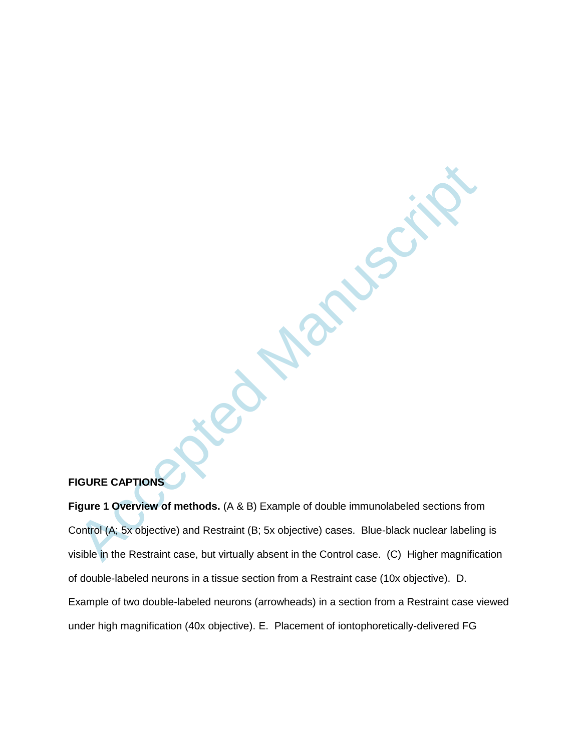# **FIGURE CAPTIONS**

**Figure 1 Overview of methods.** (A & B) Example of double immunolabeled sections from Control (A; 5x objective) and Restraint (B; 5x objective) cases. Blue-black nuclear labeling is visible in the Restraint case, but virtually absent in the Control case. (C) Higher magnification of double-labeled neurons in a tissue section from a Restraint case (10x objective). D. Example of two double-labeled neurons (arrowheads) in a section from a Restraint case viewed under high magnification (40x objective). E. Placement of iontophoretically-delivered FG

 $A_n$  and  $A_n$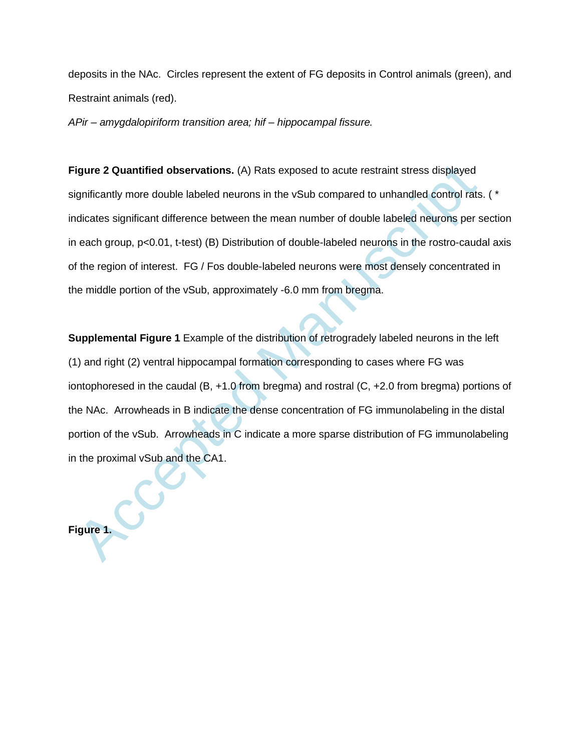deposits in the NAc. Circles represent the extent of FG deposits in Control animals (green), and Restraint animals (red).

*APir – amygdalopiriform transition area; hif – hippocampal fissure.*

igure 2 Quantified observations. (A) Rats exposed to acute restraint stress displayed<br>ignificantly more double labeled neurons in the vSub compared to unhandled control rats<br>diciates significant difference between the mean **Figure 2 Quantified observations.** (A) Rats exposed to acute restraint stress displayed significantly more double labeled neurons in the vSub compared to unhandled control rats. (\* indicates significant difference between the mean number of double labeled neurons per section in each group, p<0.01, t-test) (B) Distribution of double-labeled neurons in the rostro-caudal axis of the region of interest. FG / Fos double-labeled neurons were most densely concentrated in the middle portion of the vSub, approximately -6.0 mm from bregma.

**Supplemental Figure 1** Example of the distribution of retrogradely labeled neurons in the left (1) and right (2) ventral hippocampal formation corresponding to cases where FG was iontophoresed in the caudal (B, +1.0 from bregma) and rostral (C, +2.0 from bregma) portions of the NAc. Arrowheads in B indicate the dense concentration of FG immunolabeling in the distal portion of the vSub. Arrowheads in C indicate a more sparse distribution of FG immunolabeling in the proximal vSub and the CA1.

**Figure 1.**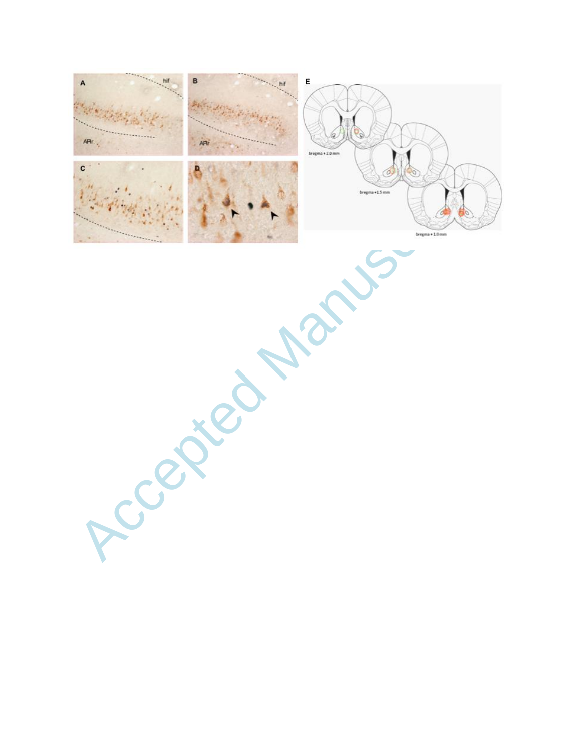